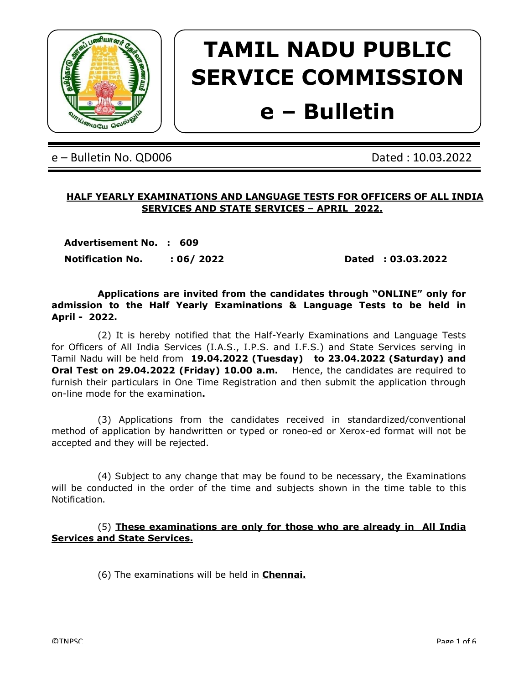

# TAMIL NADU PUBLIC SERVICE COMMISSION

# e – Bulletin

e – Bulletin No. QD006 Dated : 10.03.2022

# HALF YEARLY EXAMINATIONS AND LANGUAGE TESTS FOR OFFICERS OF ALL INDIA SERVICES AND STATE SERVICES – APRIL 2022.

Advertisement No. : 609 Notification No. : 06/ 2022 Dated : 03.03.2022

 Applications are invited from the candidates through "ONLINE" only for admission to the Half Yearly Examinations & Language Tests to be held in April - 2022.

 (2) It is hereby notified that the Half-Yearly Examinations and Language Tests for Officers of All India Services (I.A.S., I.P.S. and I.F.S.) and State Services serving in Tamil Nadu will be held from 19.04.2022 (Tuesday) to 23.04.2022 (Saturday) and Oral Test on 29.04.2022 (Friday) 10.00 a.m. Hence, the candidates are required to furnish their particulars in One Time Registration and then submit the application through on-line mode for the examination.

 (3) Applications from the candidates received in standardized/conventional method of application by handwritten or typed or roneo-ed or Xerox-ed format will not be accepted and they will be rejected.

 (4) Subject to any change that may be found to be necessary, the Examinations will be conducted in the order of the time and subjects shown in the time table to this Notification.

 (5) These examinations are only for those who are already in All India Services and State Services.

(6) The examinations will be held in **Chennai.**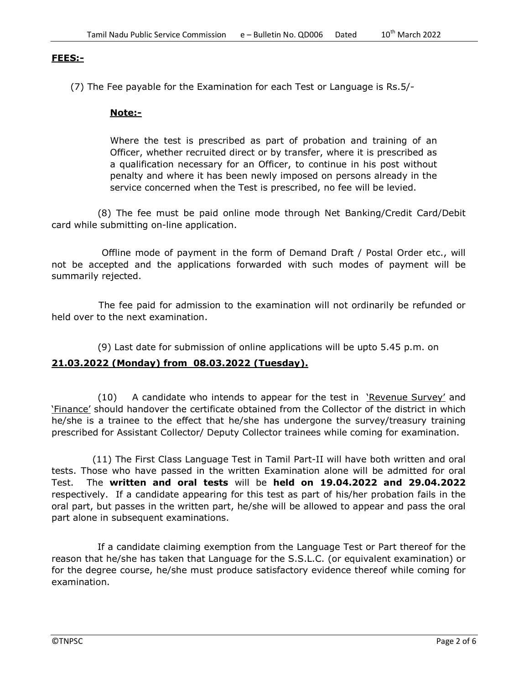#### FEES:-

(7) The Fee payable for the Examination for each Test or Language is Rs.5/-

#### Note:-

Where the test is prescribed as part of probation and training of an Officer, whether recruited direct or by transfer, where it is prescribed as a qualification necessary for an Officer, to continue in his post without penalty and where it has been newly imposed on persons already in the service concerned when the Test is prescribed, no fee will be levied.

 (8) The fee must be paid online mode through Net Banking/Credit Card/Debit card while submitting on-line application.

 Offline mode of payment in the form of Demand Draft / Postal Order etc., will not be accepted and the applications forwarded with such modes of payment will be summarily rejected.

 The fee paid for admission to the examination will not ordinarily be refunded or held over to the next examination.

(9) Last date for submission of online applications will be upto 5.45 p.m. on

# 21.03.2022 (Monday) from 08.03.2022 (Tuesday).

 $(10)$  A candidate who intends to appear for the test in 'Revenue Survey' and 'Finance' should handover the certificate obtained from the Collector of the district in which he/she is a trainee to the effect that he/she has undergone the survey/treasury training prescribed for Assistant Collector/ Deputy Collector trainees while coming for examination.

 (11) The First Class Language Test in Tamil Part-II will have both written and oral tests. Those who have passed in the written Examination alone will be admitted for oral Test. The written and oral tests will be held on 19.04.2022 and 29.04.2022 respectively. If a candidate appearing for this test as part of his/her probation fails in the oral part, but passes in the written part, he/she will be allowed to appear and pass the oral part alone in subsequent examinations.

 If a candidate claiming exemption from the Language Test or Part thereof for the reason that he/she has taken that Language for the S.S.L.C. (or equivalent examination) or for the degree course, he/she must produce satisfactory evidence thereof while coming for examination.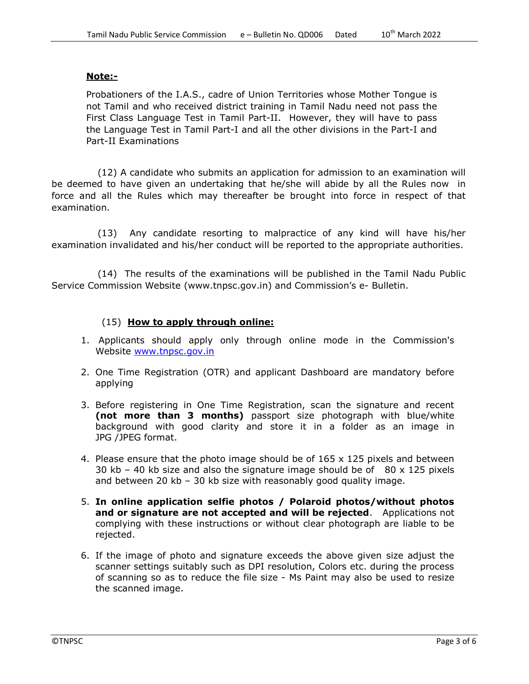#### Note:-

Probationers of the I.A.S., cadre of Union Territories whose Mother Tongue is not Tamil and who received district training in Tamil Nadu need not pass the First Class Language Test in Tamil Part-II. However, they will have to pass the Language Test in Tamil Part-I and all the other divisions in the Part-I and Part-II Examinations

 (12) A candidate who submits an application for admission to an examination will be deemed to have given an undertaking that he/she will abide by all the Rules now in force and all the Rules which may thereafter be brought into force in respect of that examination.

 (13) Any candidate resorting to malpractice of any kind will have his/her examination invalidated and his/her conduct will be reported to the appropriate authorities.

 (14) The results of the examinations will be published in the Tamil Nadu Public Service Commission Website (www.tnpsc.gov.in) and Commission's e- Bulletin.

#### (15) How to apply through online:

- 1. Applicants should apply only through online mode in the Commission's Website www.tnpsc.gov.in
- 2. One Time Registration (OTR) and applicant Dashboard are mandatory before applying
- 3. Before registering in One Time Registration, scan the signature and recent (not more than 3 months) passport size photograph with blue/white background with good clarity and store it in a folder as an image in JPG /JPEG format.
- 4. Please ensure that the photo image should be of 165 x 125 pixels and between 30 kb – 40 kb size and also the signature image should be of  $80 \times 125$  pixels and between 20 kb – 30 kb size with reasonably good quality image.
- 5. In online application selfie photos / Polaroid photos/without photos and or signature are not accepted and will be rejected. Applications not complying with these instructions or without clear photograph are liable to be rejected.
- 6. If the image of photo and signature exceeds the above given size adjust the scanner settings suitably such as DPI resolution, Colors etc. during the process of scanning so as to reduce the file size - Ms Paint may also be used to resize the scanned image.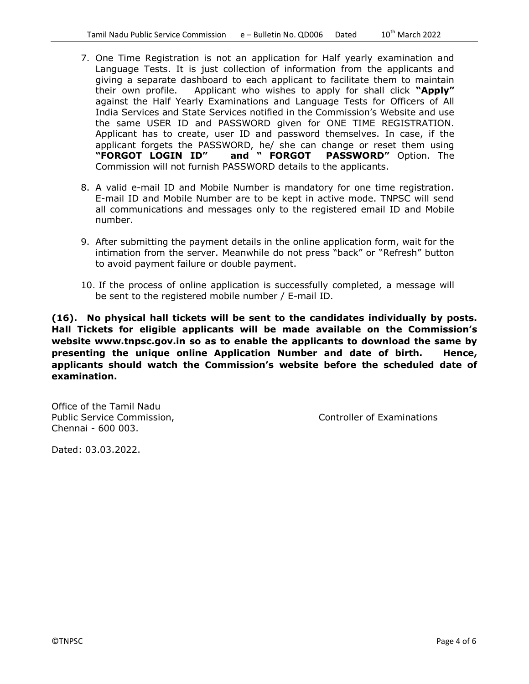- 7. One Time Registration is not an application for Half yearly examination and Language Tests. It is just collection of information from the applicants and giving a separate dashboard to each applicant to facilitate them to maintain their own profile. Applicant who wishes to apply for shall click "Apply" against the Half Yearly Examinations and Language Tests for Officers of All India Services and State Services notified in the Commission's Website and use the same USER ID and PASSWORD given for ONE TIME REGISTRATION. Applicant has to create, user ID and password themselves. In case, if the applicant forgets the PASSWORD, he/ she can change or reset them using<br>"FORGOT LOGIN ID" and "FORGOT PASSWORD" Option. The "FORGOT LOGIN ID" and " FORGOT PASSWORD" Option. The Commission will not furnish PASSWORD details to the applicants.
- 8. A valid e-mail ID and Mobile Number is mandatory for one time registration. E-mail ID and Mobile Number are to be kept in active mode. TNPSC will send all communications and messages only to the registered email ID and Mobile number.
- 9. After submitting the payment details in the online application form, wait for the intimation from the server. Meanwhile do not press "back" or "Refresh" button to avoid payment failure or double payment.
- 10. If the process of online application is successfully completed, a message will be sent to the registered mobile number / E-mail ID.

(16). No physical hall tickets will be sent to the candidates individually by posts. Hall Tickets for eligible applicants will be made available on the Commission's website www.tnpsc.gov.in so as to enable the applicants to download the same by presenting the unique online Application Number and date of birth. Hence, applicants should watch the Commission's website before the scheduled date of examination.

Office of the Tamil Nadu Public Service Commission, The Controller of Examinations Chennai - 600 003.

Dated: 03.03.2022.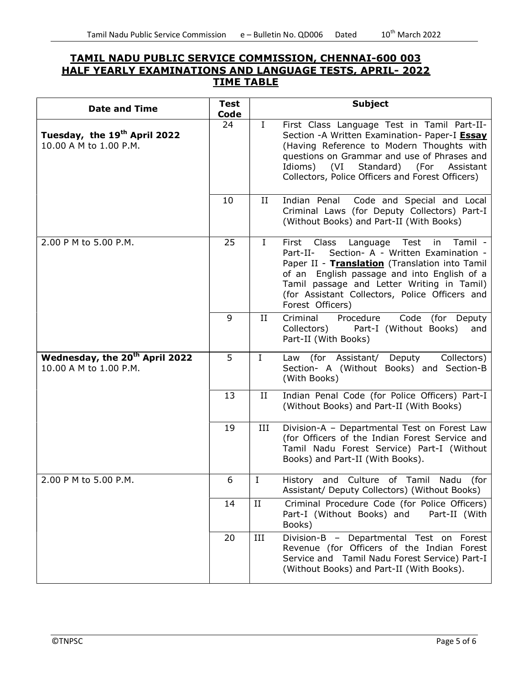# TAMIL NADU PUBLIC SERVICE COMMISSION, CHENNAI-600 003 HALF YEARLY EXAMINATIONS AND LANGUAGE TESTS, APRIL- 2022 TIME TABLE

| <b>Date and Time</b>                                                 | <b>Test</b><br>Code |              | <b>Subject</b>                                                                                                                                                                                                                                                                                                       |
|----------------------------------------------------------------------|---------------------|--------------|----------------------------------------------------------------------------------------------------------------------------------------------------------------------------------------------------------------------------------------------------------------------------------------------------------------------|
| Tuesday, the 19 <sup>th</sup> April 2022<br>10.00 A M to 1.00 P.M.   | 24                  | $\mathbf{I}$ | First Class Language Test in Tamil Part-II-<br>Section - A Written Examination- Paper-I Essay<br>(Having Reference to Modern Thoughts with<br>questions on Grammar and use of Phrases and<br>(VI)<br>Standard) (For<br>Idioms)<br>Assistant<br>Collectors, Police Officers and Forest Officers)                      |
|                                                                      | 10                  | II           | Indian Penal<br>Code and Special and Local<br>Criminal Laws (for Deputy Collectors) Part-I<br>(Without Books) and Part-II (With Books)                                                                                                                                                                               |
| 2.00 P M to 5.00 P.M.                                                | 25                  | $\mathbf{I}$ | Language Test<br>Tamil -<br>First Class<br>in<br>Section- A - Written Examination -<br>Part-II-<br>Paper II - Translation (Translation into Tamil<br>of an English passage and into English of a<br>Tamil passage and Letter Writing in Tamil)<br>(for Assistant Collectors, Police Officers and<br>Forest Officers) |
|                                                                      | 9                   | $_{\rm II}$  | Criminal<br>Procedure<br>Code (for Deputy<br>Part-I (Without Books)<br>Collectors)<br>and<br>Part-II (With Books)                                                                                                                                                                                                    |
| Wednesday, the 20 <sup>th</sup> April 2022<br>10.00 A M to 1.00 P.M. | 5                   | $\mathbf I$  | Law (for Assistant/ Deputy<br>Collectors)<br>Section- A (Without Books) and Section-B<br>(With Books)                                                                                                                                                                                                                |
|                                                                      | 13                  | II           | Indian Penal Code (for Police Officers) Part-I<br>(Without Books) and Part-II (With Books)                                                                                                                                                                                                                           |
|                                                                      | 19                  | III          | Division-A - Departmental Test on Forest Law<br>(for Officers of the Indian Forest Service and<br>Tamil Nadu Forest Service) Part-I (Without<br>Books) and Part-II (With Books).                                                                                                                                     |
| 2.00 P M to 5.00 P.M.                                                | 6                   | I            | History and Culture of Tamil<br>Nadu<br>(for<br>Assistant/ Deputy Collectors) (Without Books)                                                                                                                                                                                                                        |
|                                                                      | 14                  | II           | Criminal Procedure Code (for Police Officers)<br>Part-II (With<br>Part-I (Without Books) and<br>Books)                                                                                                                                                                                                               |
|                                                                      | 20                  | III          | Division-B - Departmental Test on Forest<br>Revenue (for Officers of the Indian Forest<br>Service and Tamil Nadu Forest Service) Part-I<br>(Without Books) and Part-II (With Books).                                                                                                                                 |